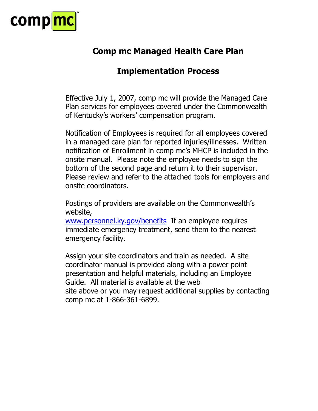

## **Comp mc Managed Health Care Plan**

## **Implementation Process**

Effective July 1, 2007, comp mc will provide the Managed Care Plan services for employees covered under the Commonwealth of Kentucky's workers' compensation program.

Notification of Employees is required for all employees covered in a managed care plan for reported injuries/illnesses. Written notification of Enrollment in comp mc's MHCP is included in the onsite manual. Please note the employee needs to sign the bottom of the second page and return it to their supervisor. Please review and refer to the attached tools for employers and onsite coordinators.

Postings of providers are available on the Commonwealth's website,

[www.personnel.ky.gov/benefits](http://www.personnel.ky.gov/benefits) If an employee requires immediate emergency treatment, send them to the nearest emergency facility.

Assign your site coordinators and train as needed. A site coordinator manual is provided along with a power point presentation and helpful materials, including an Employee Guide. All material is available at the web site above or you may request additional supplies by contacting comp mc at 1-866-361-6899.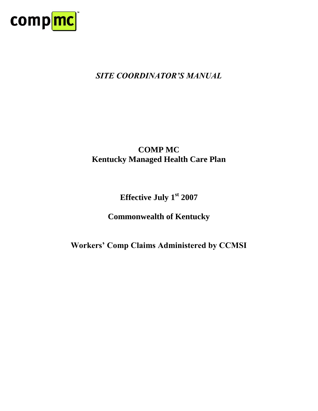

## *SITE COORDINATOR'S MANUAL*

## **COMP MC Kentucky Managed Health Care Plan**

## **Effective July 1st 2007**

## **Commonwealth of Kentucky**

## **Workers' Comp Claims Administered by CCMSI**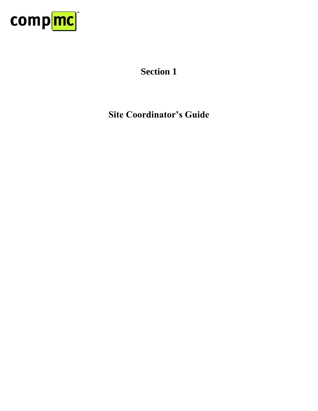

# **Section 1**

**Site Coordinator's Guide**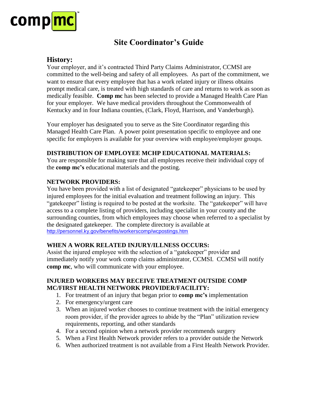

## **Site Coordinator's Guide**

#### **History:**

Your employer, and it's contracted Third Party Claims Administrator, CCMSI are committed to the well-being and safety of all employees. As part of the commitment, we want to ensure that every employee that has a work related injury or illness obtains prompt medical care, is treated with high standards of care and returns to work as soon as medically feasible. **Comp mc** has been selected to provide a Managed Health Care Plan for your employer. We have medical providers throughout the Commonwealth of Kentucky and in four Indiana counties, (Clark, Floyd, Harrison, and Vanderburgh).

Your employer has designated you to serve as the Site Coordinator regarding this Managed Health Care Plan. A power point presentation specific to employee and one specific for employers is available for your overview with employee/employer groups.

#### **DISTRIBUTION OF EMPLOYEE MCHP EDUCATIONAL MATERIALS:**

You are responsible for making sure that all employees receive their individual copy of the **comp mc's** educational materials and the posting.

#### **NETWORK PROVIDERS:**

You have been provided with a list of designated "gatekeeper" physicians to be used by injured employees for the initial evaluation and treatment following an injury. This "gatekeeper" listing is required to be posted at the worksite. The "gatekeeper" will have access to a complete listing of providers, including specialist in your county and the surrounding counties, from which employees may choose when referred to a specialist by the designated gatekeeper. The complete directory is available at <http://personnel.ky.gov/benefits/workerscomp/wcpostings.htm>

#### **WHEN A WORK RELATED INJURY/ILLNESS OCCURS:**

Assist the injured employee with the selection of a "gatekeeper" provider and immediately notify your work comp claims administrator, CCMSI. CCMSI will notify **comp mc**, who will communicate with your employee.

#### **INJURED WORKERS MAY RECEIVE TREATMENT OUTSIDE COMP MC/FIRST HEALTH NETWORK PROVIDER/FACILITY:**

- 1. For treatment of an injury that began prior to **comp mc's** implementation
- 2. For emergency/urgent care
- 3. When an injured worker chooses to continue treatment with the initial emergency room provider, if the provider agrees to abide by the "Plan" utilization review requirements, reporting, and other standards
- 4. For a second opinion when a network provider recommends surgery
- 5. When a First Health Network provider refers to a provider outside the Network
- 6. When authorized treatment is not available from a First Health Network Provider.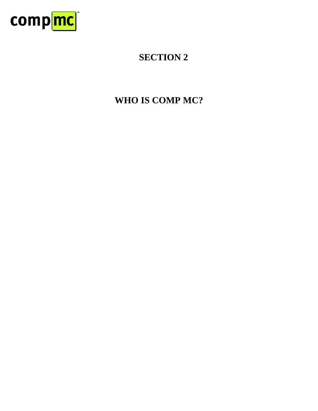

# **WHO IS COMP MC?**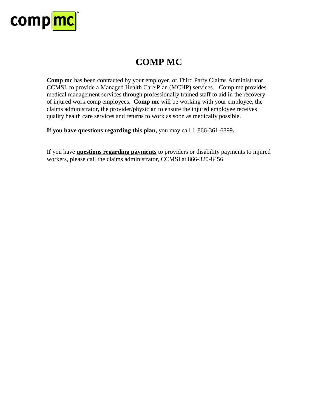

## **COMP MC**

**Comp mc** has been contracted by your employer, or Third Party Claims Administrator, CCMSI, to provide a Managed Health Care Plan (MCHP) services. Comp mc provides medical management services through professionally trained staff to aid in the recovery of injured work comp employees. **Comp mc** will be working with your employee, the claims administrator, the provider/physician to ensure the injured employee receives quality health care services and returns to work as soon as medically possible.

**If you have questions regarding this plan,** you may call 1-866-361-6899**.**

If you have **questions regarding payments** to providers or disability payments to injured workers, please call the claims administrator, CCMSI at 866-320-8456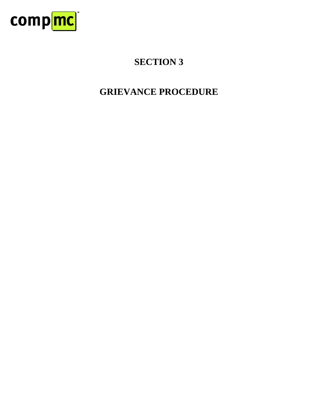

# **GRIEVANCE PROCEDURE**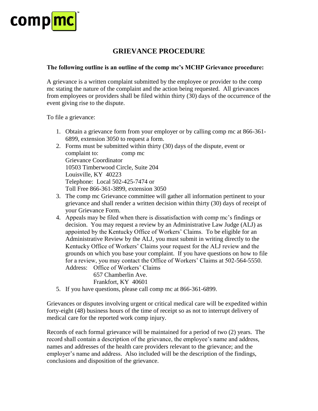

### **GRIEVANCE PROCEDURE**

#### **The following outline is an outline of the comp mc's MCHP Grievance procedure:**

A grievance is a written complaint submitted by the employee or provider to the comp mc stating the nature of the complaint and the action being requested. All grievances from employees or providers shall be filed within thirty (30) days of the occurrence of the event giving rise to the dispute.

To file a grievance:

- 1. Obtain a grievance form from your employer or by calling comp mc at 866-361- 6899, extension 3050 to request a form.
- 2. Forms must be submitted within thirty (30) days of the dispute, event or complaint to: comp mc Grievance Coordinator 10503 Timberwood Circle, Suite 204 Louisville, KY 40223 Telephone: Local 502-425-7474 or Toll Free 866-361-3899, extension 3050
- 3. The comp mc Grievance committee will gather all information pertinent to your grievance and shall render a written decision within thirty (30) days of receipt of your Grievance Form.
- 4. Appeals may be filed when there is dissatisfaction with comp mc's findings or decision. You may request a review by an Administrative Law Judge (ALJ) as appointed by the Kentucky Office of Workers' Claims. To be eligible for an Administrative Review by the ALJ, you must submit in writing directly to the Kentucky Office of Workers' Claims your request for the ALJ review and the grounds on which you base your complaint. If you have questions on how to file for a review, you may contact the Office of Workers' Claims at 502-564-5550. Address: Office of Workers' Claims

657 Chamberlin Ave.

Frankfort, KY 40601

5. If you have questions, please call comp mc at 866-361-6899.

Grievances or disputes involving urgent or critical medical care will be expedited within forty-eight (48) business hours of the time of receipt so as not to interrupt delivery of medical care for the reported work comp injury.

Records of each formal grievance will be maintained for a period of two (2) years. The record shall contain a description of the grievance, the employee's name and address, names and addresses of the health care providers relevant to the grievance; and the employer's name and address. Also included will be the description of the findings, conclusions and disposition of the grievance.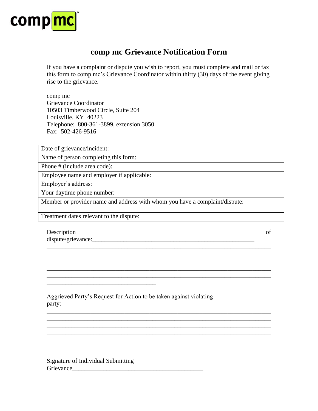

## **comp mc Grievance Notification Form**

If you have a complaint or dispute you wish to report, you must complete and mail or fax this form to comp mc's Grievance Coordinator within thirty (30) days of the event giving rise to the grievance.

comp mc Grievance Coordinator 10503 Timberwood Circle, Suite 204 Louisville, KY 40223 Telephone: 800-361-3899, extension 3050 Fax: 502-426-9516

Date of grievance/incident:

Name of person completing this form:

Phone # (include area code):

Employee name and employer if applicable:

Employer's address:

Your daytime phone number:

Member or provider name and address with whom you have a complaint/dispute:

\_\_\_\_\_\_\_\_\_\_\_\_\_\_\_\_\_\_\_\_\_\_\_\_\_\_\_\_\_\_\_\_\_\_\_\_\_\_\_\_\_\_\_\_\_\_\_\_\_\_\_\_\_\_\_\_\_\_\_\_\_\_\_\_\_\_\_\_\_\_\_\_ \_\_\_\_\_\_\_\_\_\_\_\_\_\_\_\_\_\_\_\_\_\_\_\_\_\_\_\_\_\_\_\_\_\_\_\_\_\_\_\_\_\_\_\_\_\_\_\_\_\_\_\_\_\_\_\_\_\_\_\_\_\_\_\_\_\_\_\_\_\_\_\_ \_\_\_\_\_\_\_\_\_\_\_\_\_\_\_\_\_\_\_\_\_\_\_\_\_\_\_\_\_\_\_\_\_\_\_\_\_\_\_\_\_\_\_\_\_\_\_\_\_\_\_\_\_\_\_\_\_\_\_\_\_\_\_\_\_\_\_\_\_\_\_\_

\_\_\_\_\_\_\_\_\_\_\_\_\_\_\_\_\_\_\_\_\_\_\_\_\_\_\_\_\_\_\_\_\_\_\_\_\_\_\_\_\_\_\_\_\_\_\_\_\_\_\_\_\_\_\_\_\_\_\_\_\_\_\_\_\_\_\_\_\_\_\_\_

\_\_\_\_\_\_\_\_\_\_\_\_\_\_\_\_\_\_\_\_\_\_\_\_\_\_\_\_\_\_\_\_\_\_\_\_\_\_\_\_\_\_\_\_\_\_\_\_\_\_\_\_\_\_\_\_\_\_\_\_\_\_\_\_\_\_\_\_\_\_\_\_ \_\_\_\_\_\_\_\_\_\_\_\_\_\_\_\_\_\_\_\_\_\_\_\_\_\_\_\_\_\_\_\_\_\_\_\_\_\_\_\_\_\_\_\_\_\_\_\_\_\_\_\_\_\_\_\_\_\_\_\_\_\_\_\_\_\_\_\_\_\_\_\_ \_\_\_\_\_\_\_\_\_\_\_\_\_\_\_\_\_\_\_\_\_\_\_\_\_\_\_\_\_\_\_\_\_\_\_\_\_\_\_\_\_\_\_\_\_\_\_\_\_\_\_\_\_\_\_\_\_\_\_\_\_\_\_\_\_\_\_\_\_\_\_\_ \_\_\_\_\_\_\_\_\_\_\_\_\_\_\_\_\_\_\_\_\_\_\_\_\_\_\_\_\_\_\_\_\_\_\_\_\_\_\_\_\_\_\_\_\_\_\_\_\_\_\_\_\_\_\_\_\_\_\_\_\_\_\_\_\_\_\_\_\_\_\_\_ \_\_\_\_\_\_\_\_\_\_\_\_\_\_\_\_\_\_\_\_\_\_\_\_\_\_\_\_\_\_\_\_\_\_\_\_\_\_\_\_\_\_\_\_\_\_\_\_\_\_\_\_\_\_\_\_\_\_\_\_\_\_\_\_\_\_\_\_\_\_\_\_

Treatment dates relevant to the dispute:

\_\_\_\_\_\_\_\_\_\_\_\_\_\_\_\_\_\_\_\_\_\_\_\_\_\_\_\_\_\_\_\_\_\_\_

\_\_\_\_\_\_\_\_\_\_\_\_\_\_\_\_\_\_\_\_\_\_\_\_\_\_\_\_\_\_\_\_\_\_\_

Description of the contract of the contract of the contract of the contract of the contract of the contract of the contract of the contract of the contract of the contract of the contract of the contract of the contract of dispute/grievance:\_\_\_\_\_\_\_\_\_\_\_\_\_\_\_\_\_\_\_\_\_\_\_\_\_\_\_\_\_\_\_\_\_\_\_\_\_\_\_\_\_\_\_\_\_\_\_\_\_\_\_\_

Aggrieved Party's Request for Action to be taken against violating party:\_\_\_\_\_\_\_\_\_\_\_\_\_\_\_\_\_\_\_\_

Signature of Individual Submitting Grievance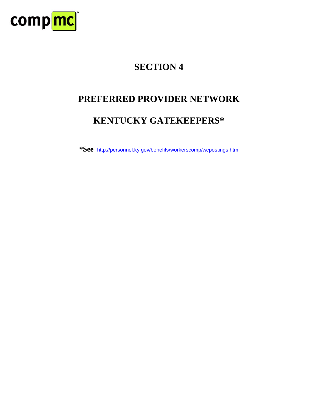

## **PREFERRED PROVIDER NETWORK**

## **KENTUCKY GATEKEEPERS\***

**\*See** http://personnel.ky.gov/benefits/workerscomp/wcpostings.htm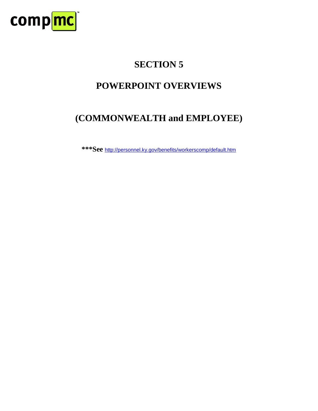

## **POWERPOINT OVERVIEWS**

## **(COMMONWEALTH and EMPLOYEE)**

**\*\*\*See** http://personnel.ky.gov/benefits/workerscomp/default.htm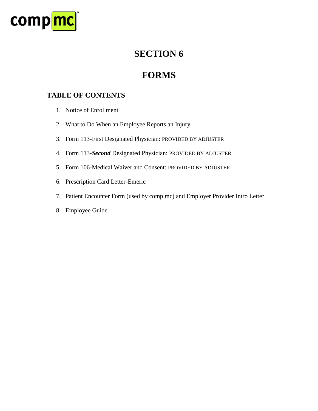

## **FORMS**

## **TABLE OF CONTENTS**

- 1. Notice of Enrollment
- 2. What to Do When an Employee Reports an Injury
- 3. Form 113-First Designated Physician: PROVIDED BY ADJUSTER
- 4. Form 113-*Second* Designated Physician: PROVIDED BY ADJUSTER
- 5. Form 106-Medical Waiver and Consent: PROVIDED BY ADJUSTER
- 6. Prescription Card Letter-Emeric
- 7. Patient Encounter Form (used by comp mc) and Employer Provider Intro Letter
- 8. Employee Guide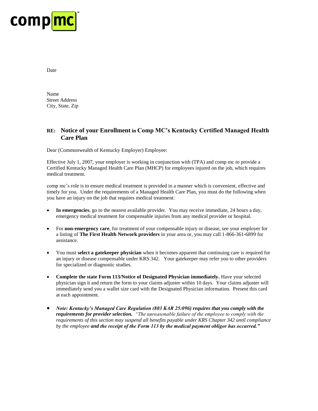

Date

Name Street Address City, State, Zip

#### **RE: Notice of your Enrollment in Comp MC's Kentucky Certified Managed Health Care Plan**

Dear (Commonwealth of Kentucky Employer) Employee:

Effective July 1, 2007, your employer is working in conjunction with (TPA) and comp mc to provide a Certified Kentucky Managed Health Care Plan (MHCP) for employees injured on the job, which requires medical treatment.

comp mc's role is to ensure medical treatment is provided in a manner which is convenient, effective and timely for you. Under the requirements of a Managed Health Care Plan, you must do the following when you have an injury on the job that requires medical treatment:

- **In emergencies**, go to the nearest available provider. You may receive immediate, 24 hours a day, emergency medical treatment for compensable injuries from any medical provider or hospital.
- For **non-emergency care**, for treatment of your compensable injury or disease, see your employer for a listing of **The First Health Network providers** in your area or, you may call 1-866-361-6899 for assistance.
- You must **select a gatekeeper physician** when it becomes apparent that continuing care is required for an injury or disease compensable under KRS 342. Your gatekeeper may refer you to other providers for specialized or diagnostic studies.
- **•** Complete the state Form 113/Notice of Designated Physician immediately. Have your selected physician sign it and return the form to your claims adjuster within 10 days. Your claims adjuster will immediately send you a wallet size card with the Designated Physician information. Present this card at each appointment.
- *Note: Kentucky's Managed Care Regulation (803 KAR 25:096) requires that you comply with the requirements for provider selection. "The unreasonable failure of the employee to comply with the requirements of this section may suspend all benefits payable under KRS Chapter 342 until compliance by the employee and the receipt of the Form 113 by the medical payment obligor has occurred."*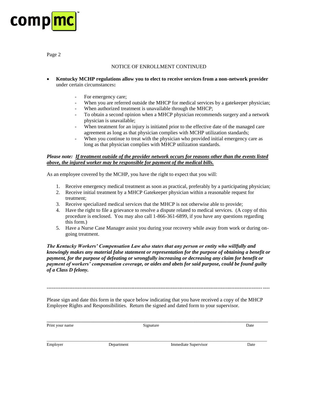

Page 2

#### NOTICE OF ENROLLMENT CONTINUED

- **Kentucky MCHP regulations allow you to elect to receive services from a non-network provider**  under certain circumstances**:**
	- For emergency care;
	- When you are referred outside the MHCP for medical services by a gatekeeper physician;
	- When authorized treatment is unavailable through the MHCP;
	- To obtain a second opinion when a MHCP physician recommends surgery and a network physician is unavailable;
	- When treatment for an injury is initiated prior to the effective date of the managed care agreement as long as that physician complies with MCHP utilization standards;
	- When you continue to treat with the physician who provided initial emergency care as long as that physician complies with MHCP utilization standards.

#### *Please note: If treatment outside of the provider network occurs for reasons other than the events listed above, the injured worker may be responsible for payment of the medical bills.*

As an employee covered by the MCHP, you have the right to expect that you will:

- 1. Receive emergency medical treatment as soon as practical, preferably by a participating physician;
- 2. Receive initial treatment by a MHCP Gatekeeper physician within a reasonable request for treatment;
- 3. Receive specialized medical services that the MHCP is not otherwise able to provide;
- 4. Have the right to file a grievance to resolve a dispute related to medical services. (A copy of this procedure is enclosed. You may also call 1-866-361-6899, if you have any questions regarding this form.)
- 5. Have a Nurse Case Manager assist you during your recovery while away from work or during ongoing treatment.

*The Kentucky Workers' Compensation Law also states that any person or entity who willfully and knowingly makes any material false statement or representation for the purpose of obtaining a benefit or payment, for the purpose of defeating or wrongfully increasing or decreasing any claim for benefit or payment of workers' compensation coverage, or aides and abets for said purpose, could be found guilty of a Class D felony.*

Please sign and date this form in the space below indicating that you have received a copy of the MHCP Employee Rights and Responsibilities. Return the signed and dated form to your supervisor.

---------------------------------------------------------------------------------------------------------------------------------

| Print your name | Signature  |                             | Date |
|-----------------|------------|-----------------------------|------|
|                 |            |                             |      |
| Employer        | Department | <b>Immediate Supervisor</b> | Date |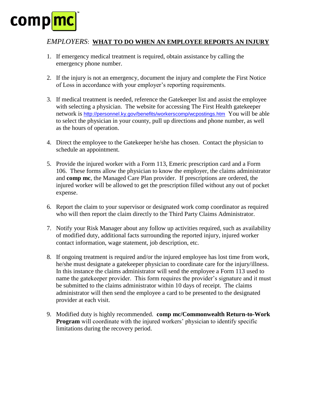# **comph**

#### *EMPLOYERS*: **WHAT TO DO WHEN AN EMPLOYEE REPORTS AN INJURY**

- 1. If emergency medical treatment is required, obtain assistance by calling the emergency phone number.
- 2. If the injury is not an emergency, document the injury and complete the First Notice of Loss in accordance with your employer's reporting requirements.
- 3. If medical treatment is needed, reference the Gatekeeper list and assist the employee with selecting a physician. The website for accessing The First Health gatekeeper network is <http://personnel.ky.gov/benefits/workerscomp/wcpostings.htm> You will be able to select the physician in your county, pull up directions and phone number, as well as the hours of operation.
- 4. Direct the employee to the Gatekeeper he/she has chosen. Contact the physician to schedule an appointment.
- 5. Provide the injured worker with a Form 113, Emeric prescription card and a Form 106. These forms allow the physician to know the employer, the claims administrator and **comp mc**, the Managed Care Plan provider. If prescriptions are ordered, the injured worker will be allowed to get the prescription filled without any out of pocket expense.
- 6. Report the claim to your supervisor or designated work comp coordinator as required who will then report the claim directly to the Third Party Claims Administrator.
- 7. Notify your Risk Manager about any follow up activities required, such as availability of modified duty, additional facts surrounding the reported injury, injured worker contact information, wage statement, job description, etc.
- 8. If ongoing treatment is required and/or the injured employee has lost time from work, he/she must designate a gatekeeper physician to coordinate care for the injury/illness. In this instance the claims administrator will send the employee a Form 113 used to name the gatekeeper provider. This form requires the provider's signature and it must be submitted to the claims administrator within 10 days of receipt. The claims administrator will then send the employee a card to be presented to the designated provider at each visit.
- 9. Modified duty is highly recommended. **comp mc/Commonwealth Return-to-Work Program** will coordinate with the injured workers' physician to identify specific limitations during the recovery period.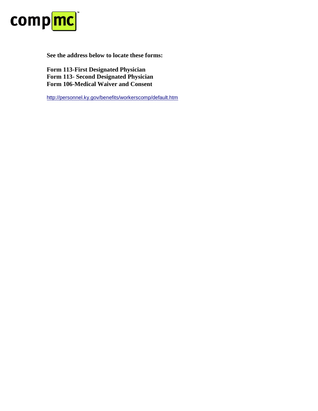

**See the address below to locate these forms:**

**Form 113-First Designated Physician Form 113- Second Designated Physician Form 106-Medical Waiver and Consent**

http://personnel.ky.gov/benefits/workerscomp/default.htm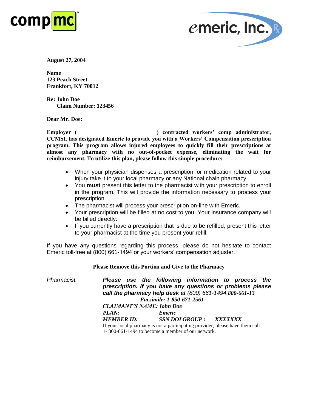



**August 27, 2004**

**Name 123 Peach Street Frankfort, KY 70012**

**Re: John Doe Claim Number: 123456**

**Dear Mr. Doe:**

**Employer (**  $\blacksquare$  ) contracted workers' comp administrator, **CCMSI, has designated Emeric to provide you with a Workers' Compensation prescription program. This program allows injured employees to quickly fill their prescriptions at almost any pharmacy with no out-of-pocket expense, eliminating the wait for reimbursement. To utilize this plan, please follow this simple procedure:**

- When your physician dispenses a prescription for medication related to your injury take it to your local pharmacy or any National chain pharmacy.
- You **must** present this letter to the pharmacist with your prescription to enroll in the program. This will provide the information necessary to process your prescription.
- The pharmacist will process your prescription on-line with Emeric.
- Your prescription will be filled at no cost to you. Your insurance company will be billed directly.
- If you currently have a prescription that is due to be refilled; present this letter to your pharmacist at the time you present your refill.

If you have any questions regarding this process, please do not hesitate to contact Emeric toll-free at (800) 661-1494 or your workers' compensation adjuster.

|                    |                                                                               | <b>Please Remove this Portion and Give to the Pharmacy</b>                                                                                                                                                 |  |  |
|--------------------|-------------------------------------------------------------------------------|------------------------------------------------------------------------------------------------------------------------------------------------------------------------------------------------------------|--|--|
| <i>Pharmacist:</i> |                                                                               | Please use the following information to process the<br>prescription. If you have any questions or problems please<br>call the pharmacy help desk at (800) 661-1494.800-661-13<br>Facsimile: 1-850-671-2561 |  |  |
|                    | <b>CLAIMANT'S NAME: John Doe</b>                                              |                                                                                                                                                                                                            |  |  |
|                    | <b>PLAN:</b>                                                                  | <i><b>Emeric</b></i>                                                                                                                                                                                       |  |  |
|                    | <b>MEMBER ID:</b>                                                             | SSN DOLGROUP : XXXXXXX                                                                                                                                                                                     |  |  |
|                    | If your local pharmacy is not a participating provider, please have them call |                                                                                                                                                                                                            |  |  |
|                    | 1-800-661-1494 to become a member of our network.                             |                                                                                                                                                                                                            |  |  |